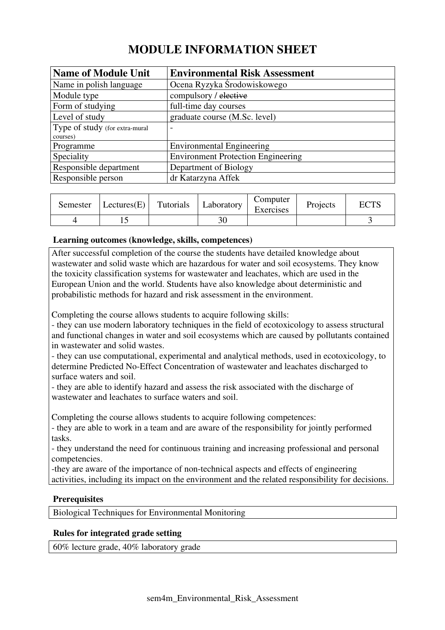# **MODULE INFORMATION SHEET**

| <b>Name of Module Unit</b>     | <b>Environmental Risk Assessment</b>      |
|--------------------------------|-------------------------------------------|
| Name in polish language        | Ocena Ryzyka Środowiskowego               |
| Module type                    | compulsory / elective                     |
| Form of studying               | full-time day courses                     |
| Level of study                 | graduate course (M.Sc. level)             |
| Type of study (for extra-mural | $\overline{\phantom{a}}$                  |
| courses)                       |                                           |
| Programme                      | <b>Environmental Engineering</b>          |
| Speciality                     | <b>Environment Protection Engineering</b> |
| Responsible department         | Department of Biology                     |
| Responsible person             | dr Katarzyna Affek                        |

| Semester | Lectures(E) | Tutorials | Laboratory | Computer<br>Exercises | Projects | <b>TOTO</b><br>EU 15 |
|----------|-------------|-----------|------------|-----------------------|----------|----------------------|
|          |             |           | າດ         |                       |          |                      |

## **Learning outcomes (knowledge, skills, competences)**

After successful completion of the course the students have detailed knowledge about wastewater and solid waste which are hazardous for water and soil ecosystems. They know the toxicity classification systems for wastewater and leachates, which are used in the European Union and the world. Students have also knowledge about deterministic and probabilistic methods for hazard and risk assessment in the environment.

Completing the course allows students to acquire following skills:

- they can use modern laboratory techniques in the field of ecotoxicology to assess structural and functional changes in water and soil ecosystems which are caused by pollutants contained in wastewater and solid wastes.

- they can use computational, experimental and analytical methods, used in ecotoxicology, to determine Predicted No-Effect Concentration of wastewater and leachates discharged to surface waters and soil.

- they are able to identify hazard and assess the risk associated with the discharge of wastewater and leachates to surface waters and soil.

Completing the course allows students to acquire following competences:

- they are able to work in a team and are aware of the responsibility for jointly performed tasks.

- they understand the need for continuous training and increasing professional and personal competencies.

-they are aware of the importance of non-technical aspects and effects of engineering activities, including its impact on the environment and the related responsibility for decisions.

## **Prerequisites**

Biological Techniques for Environmental Monitoring

## **Rules for integrated grade setting**

60% lecture grade, 40% laboratory grade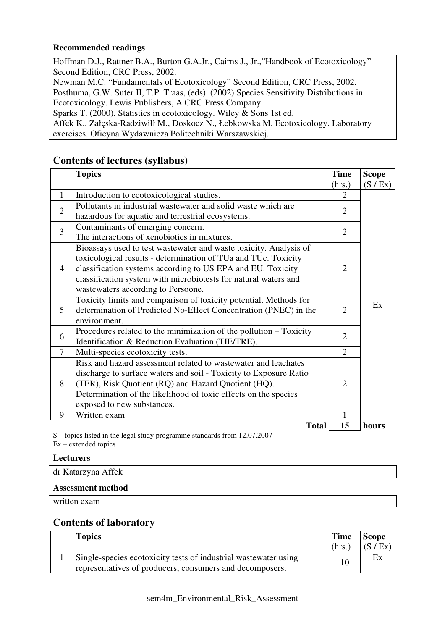## **Recommended readings**

Hoffman D.J., Rattner B.A., Burton G.A.Jr., Cairns J., Jr.,"Handbook of Ecotoxicology" Second Edition, CRC Press, 2002. Newman M.C. "Fundamentals of Ecotoxicology" Second Edition, CRC Press, 2002.

Posthuma, G.W. Suter II, T.P. Traas, (eds). (2002) Species Sensitivity Distributions in Ecotoxicology. Lewis Publishers, A CRC Press Company.

Sparks T. (2000). Statistics in ecotoxicology. Wiley & Sons 1st ed.

Affek K., Załęska-Radziwiłł M., Doskocz N., Łebkowska M. Ecotoxicology. Laboratory exercises. Oficyna Wydawnicza Politechniki Warszawskiej.

# **Contents of lectures (syllabus)**

|                | <b>Topics</b>                                                      | <b>Time</b>                 | <b>Scope</b> |
|----------------|--------------------------------------------------------------------|-----------------------------|--------------|
|                |                                                                    | (hrs.)                      | (S / Ex)     |
| 1              | Introduction to ecotoxicological studies.                          | $\mathcal{D}_{\mathcal{L}}$ |              |
| $\overline{2}$ | Pollutants in industrial wastewater and solid waste which are      | $\overline{2}$              |              |
|                | hazardous for aquatic and terrestrial ecosystems.                  |                             |              |
| $\overline{3}$ | Contaminants of emerging concern.                                  | $\overline{2}$              |              |
|                | The interactions of xenobiotics in mixtures.                       |                             |              |
|                | Bioassays used to test wastewater and waste toxicity. Analysis of  |                             |              |
|                | toxicological results - determination of TUa and TUc. Toxicity     |                             |              |
| $\overline{4}$ | classification systems according to US EPA and EU. Toxicity        | $\overline{2}$              |              |
|                | classification system with microbiotests for natural waters and    |                             |              |
|                | wastewaters according to Persoone.                                 |                             |              |
|                | Toxicity limits and comparison of toxicity potential. Methods for  |                             | Ex           |
| 5              | determination of Predicted No-Effect Concentration (PNEC) in the   | $\overline{2}$              |              |
|                | environment.                                                       |                             |              |
| 6              | Procedures related to the minimization of the pollution – Toxicity | $\overline{2}$              |              |
|                | Identification & Reduction Evaluation (TIE/TRE).                   |                             |              |
| 7              | Multi-species ecotoxicity tests.                                   | $\overline{2}$              |              |
| 8              | Risk and hazard assessment related to wastewater and leachates     |                             |              |
|                | discharge to surface waters and soil - Toxicity to Exposure Ratio  |                             |              |
|                | (TER), Risk Quotient (RQ) and Hazard Quotient (HQ).                | $\overline{2}$              |              |
|                | Determination of the likelihood of toxic effects on the species    |                             |              |
|                | exposed to new substances.                                         |                             |              |
| 9              | Written exam                                                       | 1                           |              |
|                | <b>Total</b>                                                       | 15                          | hours        |

S – topics listed in the legal study programme standards from 12.07.2007 Ex – extended topics

**Lecturers** 

dr Katarzyna Affek

## **Assessment method**

written exam

# **Contents of laboratory**

| <b>Topics</b>                                                                                                               | <b>Time</b> | <b>Scope</b> |
|-----------------------------------------------------------------------------------------------------------------------------|-------------|--------------|
|                                                                                                                             | (hrs.       | (S / Ex)     |
| Single-species ecotoxicity tests of industrial wastewater using<br>representatives of producers, consumers and decomposers. | 10          | Ex           |